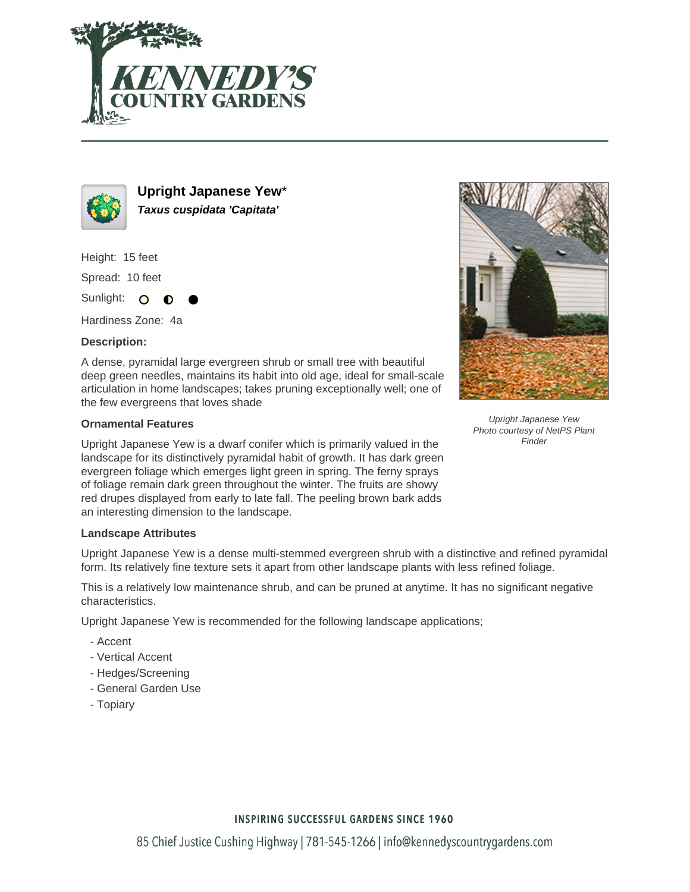



**Upright Japanese Yew**\* **Taxus cuspidata 'Capitata'**

Height: 15 feet

Spread: 10 feet

Sunlight: O ∩

Hardiness Zone: 4a

## **Description:**

A dense, pyramidal large evergreen shrub or small tree with beautiful deep green needles, maintains its habit into old age, ideal for small-scale articulation in home landscapes; takes pruning exceptionally well; one of the few evergreens that loves shade

## **Ornamental Features**

Upright Japanese Yew is a dwarf conifer which is primarily valued in the landscape for its distinctively pyramidal habit of growth. It has dark green evergreen foliage which emerges light green in spring. The ferny sprays of foliage remain dark green throughout the winter. The fruits are showy red drupes displayed from early to late fall. The peeling brown bark adds an interesting dimension to the landscape.

## **Landscape Attributes**

Upright Japanese Yew is a dense multi-stemmed evergreen shrub with a distinctive and refined pyramidal form. Its relatively fine texture sets it apart from other landscape plants with less refined foliage.

This is a relatively low maintenance shrub, and can be pruned at anytime. It has no significant negative characteristics.

Upright Japanese Yew is recommended for the following landscape applications;

- Accent
- Vertical Accent
- Hedges/Screening
- General Garden Use
- Topiary



Upright Japanese Yew Photo courtesy of NetPS Plant **Finder**